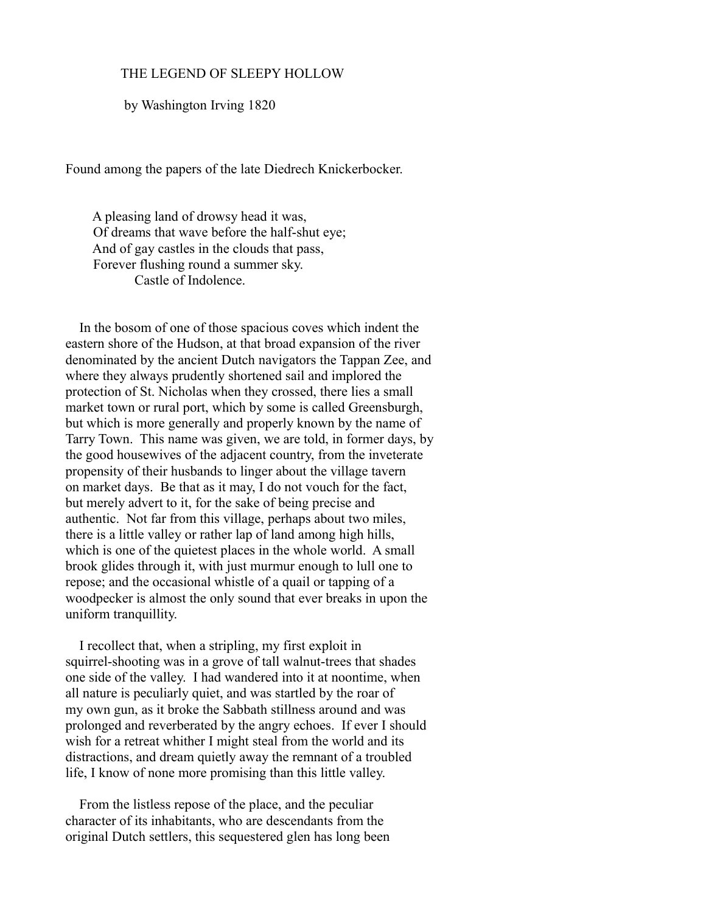## THE LEGEND OF SLEEPY HOLLOW

by Washington Irving 1820

Found among the papers of the late Diedrech Knickerbocker.

 A pleasing land of drowsy head it was, Of dreams that wave before the half-shut eye; And of gay castles in the clouds that pass, Forever flushing round a summer sky. Castle of Indolence.

 In the bosom of one of those spacious coves which indent the eastern shore of the Hudson, at that broad expansion of the river denominated by the ancient Dutch navigators the Tappan Zee, and where they always prudently shortened sail and implored the protection of St. Nicholas when they crossed, there lies a small market town or rural port, which by some is called Greensburgh, but which is more generally and properly known by the name of Tarry Town. This name was given, we are told, in former days, by the good housewives of the adjacent country, from the inveterate propensity of their husbands to linger about the village tavern on market days. Be that as it may, I do not vouch for the fact, but merely advert to it, for the sake of being precise and authentic. Not far from this village, perhaps about two miles, there is a little valley or rather lap of land among high hills, which is one of the quietest places in the whole world. A small brook glides through it, with just murmur enough to lull one to repose; and the occasional whistle of a quail or tapping of a woodpecker is almost the only sound that ever breaks in upon the uniform tranquillity.

 I recollect that, when a stripling, my first exploit in squirrel-shooting was in a grove of tall walnut-trees that shades one side of the valley. I had wandered into it at noontime, when all nature is peculiarly quiet, and was startled by the roar of my own gun, as it broke the Sabbath stillness around and was prolonged and reverberated by the angry echoes. If ever I should wish for a retreat whither I might steal from the world and its distractions, and dream quietly away the remnant of a troubled life, I know of none more promising than this little valley.

 From the listless repose of the place, and the peculiar character of its inhabitants, who are descendants from the original Dutch settlers, this sequestered glen has long been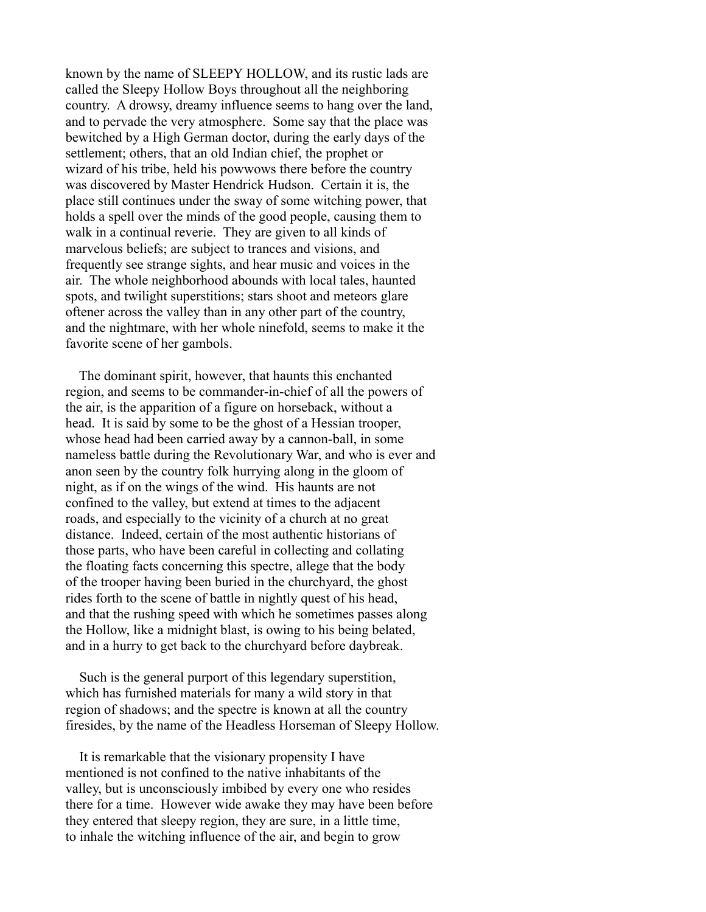known by the name of SLEEPY HOLLOW, and its rustic lads are called the Sleepy Hollow Boys throughout all the neighboring country. A drowsy, dreamy influence seems to hang over the land, and to pervade the very atmosphere. Some say that the place was bewitched by a High German doctor, during the early days of the settlement; others, that an old Indian chief, the prophet or wizard of his tribe, held his powwows there before the country was discovered by Master Hendrick Hudson. Certain it is, the place still continues under the sway of some witching power, that holds a spell over the minds of the good people, causing them to walk in a continual reverie. They are given to all kinds of marvelous beliefs; are subject to trances and visions, and frequently see strange sights, and hear music and voices in the air. The whole neighborhood abounds with local tales, haunted spots, and twilight superstitions; stars shoot and meteors glare oftener across the valley than in any other part of the country, and the nightmare, with her whole ninefold, seems to make it the favorite scene of her gambols.

 The dominant spirit, however, that haunts this enchanted region, and seems to be commander-in-chief of all the powers of the air, is the apparition of a figure on horseback, without a head. It is said by some to be the ghost of a Hessian trooper, whose head had been carried away by a cannon-ball, in some nameless battle during the Revolutionary War, and who is ever and anon seen by the country folk hurrying along in the gloom of night, as if on the wings of the wind. His haunts are not confined to the valley, but extend at times to the adjacent roads, and especially to the vicinity of a church at no great distance. Indeed, certain of the most authentic historians of those parts, who have been careful in collecting and collating the floating facts concerning this spectre, allege that the body of the trooper having been buried in the churchyard, the ghost rides forth to the scene of battle in nightly quest of his head, and that the rushing speed with which he sometimes passes along the Hollow, like a midnight blast, is owing to his being belated, and in a hurry to get back to the churchyard before daybreak.

 Such is the general purport of this legendary superstition, which has furnished materials for many a wild story in that region of shadows; and the spectre is known at all the country firesides, by the name of the Headless Horseman of Sleepy Hollow.

 It is remarkable that the visionary propensity I have mentioned is not confined to the native inhabitants of the valley, but is unconsciously imbibed by every one who resides there for a time. However wide awake they may have been before they entered that sleepy region, they are sure, in a little time, to inhale the witching influence of the air, and begin to grow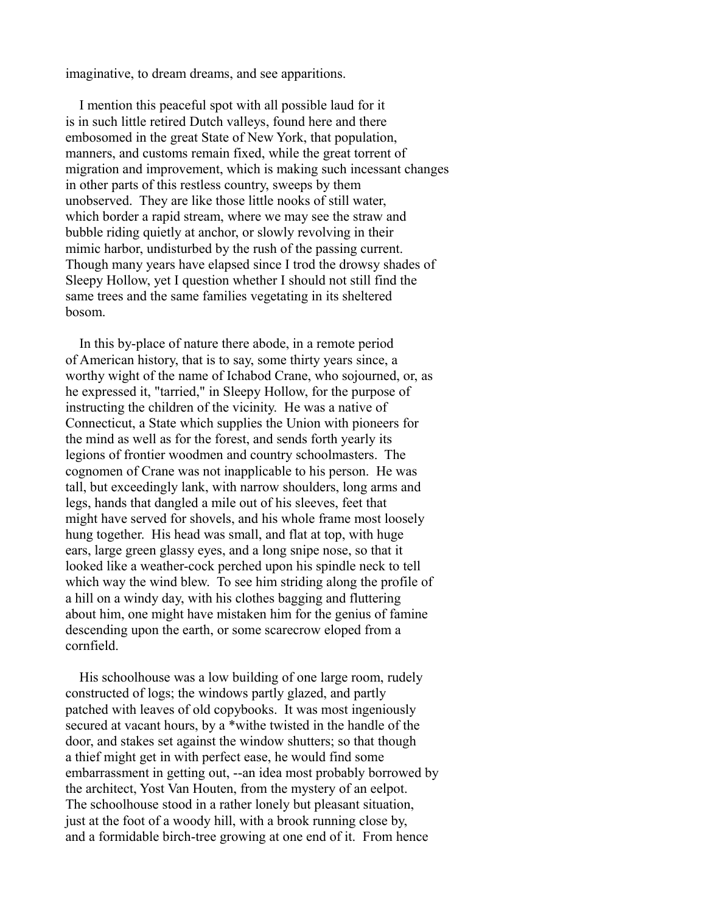imaginative, to dream dreams, and see apparitions.

 I mention this peaceful spot with all possible laud for it is in such little retired Dutch valleys, found here and there embosomed in the great State of New York, that population, manners, and customs remain fixed, while the great torrent of migration and improvement, which is making such incessant changes in other parts of this restless country, sweeps by them unobserved. They are like those little nooks of still water, which border a rapid stream, where we may see the straw and bubble riding quietly at anchor, or slowly revolving in their mimic harbor, undisturbed by the rush of the passing current. Though many years have elapsed since I trod the drowsy shades of Sleepy Hollow, yet I question whether I should not still find the same trees and the same families vegetating in its sheltered bosom.

 In this by-place of nature there abode, in a remote period of American history, that is to say, some thirty years since, a worthy wight of the name of Ichabod Crane, who sojourned, or, as he expressed it, "tarried," in Sleepy Hollow, for the purpose of instructing the children of the vicinity. He was a native of Connecticut, a State which supplies the Union with pioneers for the mind as well as for the forest, and sends forth yearly its legions of frontier woodmen and country schoolmasters. The cognomen of Crane was not inapplicable to his person. He was tall, but exceedingly lank, with narrow shoulders, long arms and legs, hands that dangled a mile out of his sleeves, feet that might have served for shovels, and his whole frame most loosely hung together. His head was small, and flat at top, with huge ears, large green glassy eyes, and a long snipe nose, so that it looked like a weather-cock perched upon his spindle neck to tell which way the wind blew. To see him striding along the profile of a hill on a windy day, with his clothes bagging and fluttering about him, one might have mistaken him for the genius of famine descending upon the earth, or some scarecrow eloped from a cornfield.

 His schoolhouse was a low building of one large room, rudely constructed of logs; the windows partly glazed, and partly patched with leaves of old copybooks. It was most ingeniously secured at vacant hours, by a \*withe twisted in the handle of the door, and stakes set against the window shutters; so that though a thief might get in with perfect ease, he would find some embarrassment in getting out, --an idea most probably borrowed by the architect, Yost Van Houten, from the mystery of an eelpot. The schoolhouse stood in a rather lonely but pleasant situation, just at the foot of a woody hill, with a brook running close by, and a formidable birch-tree growing at one end of it. From hence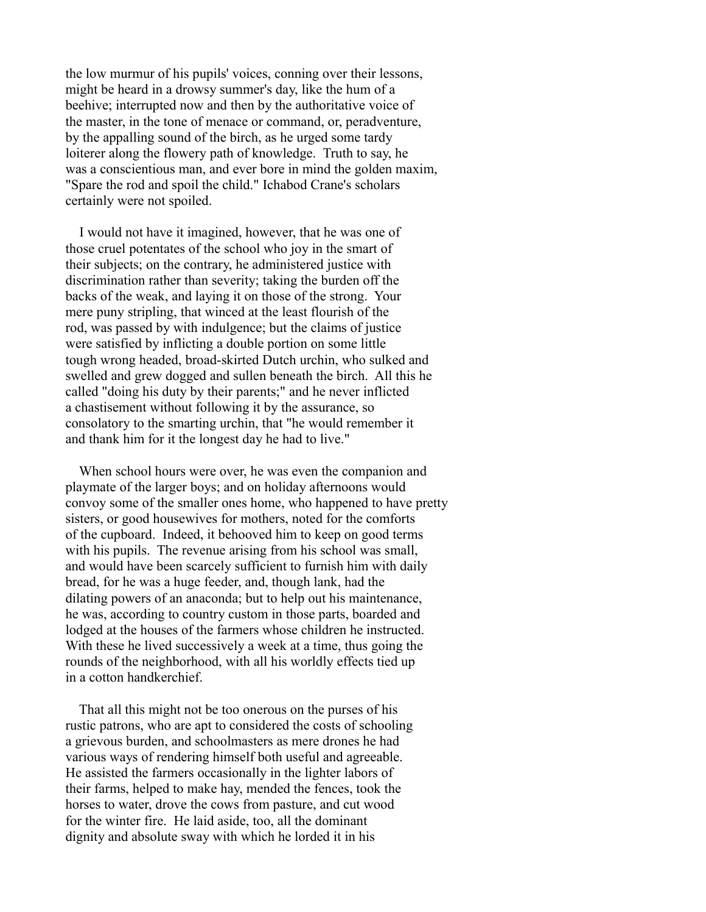the low murmur of his pupils' voices, conning over their lessons, might be heard in a drowsy summer's day, like the hum of a beehive; interrupted now and then by the authoritative voice of the master, in the tone of menace or command, or, peradventure, by the appalling sound of the birch, as he urged some tardy loiterer along the flowery path of knowledge. Truth to say, he was a conscientious man, and ever bore in mind the golden maxim, "Spare the rod and spoil the child." Ichabod Crane's scholars certainly were not spoiled.

 I would not have it imagined, however, that he was one of those cruel potentates of the school who joy in the smart of their subjects; on the contrary, he administered justice with discrimination rather than severity; taking the burden off the backs of the weak, and laying it on those of the strong. Your mere puny stripling, that winced at the least flourish of the rod, was passed by with indulgence; but the claims of justice were satisfied by inflicting a double portion on some little tough wrong headed, broad-skirted Dutch urchin, who sulked and swelled and grew dogged and sullen beneath the birch. All this he called "doing his duty by their parents;" and he never inflicted a chastisement without following it by the assurance, so consolatory to the smarting urchin, that "he would remember it and thank him for it the longest day he had to live."

 When school hours were over, he was even the companion and playmate of the larger boys; and on holiday afternoons would convoy some of the smaller ones home, who happened to have pretty sisters, or good housewives for mothers, noted for the comforts of the cupboard. Indeed, it behooved him to keep on good terms with his pupils. The revenue arising from his school was small, and would have been scarcely sufficient to furnish him with daily bread, for he was a huge feeder, and, though lank, had the dilating powers of an anaconda; but to help out his maintenance, he was, according to country custom in those parts, boarded and lodged at the houses of the farmers whose children he instructed. With these he lived successively a week at a time, thus going the rounds of the neighborhood, with all his worldly effects tied up in a cotton handkerchief.

 That all this might not be too onerous on the purses of his rustic patrons, who are apt to considered the costs of schooling a grievous burden, and schoolmasters as mere drones he had various ways of rendering himself both useful and agreeable. He assisted the farmers occasionally in the lighter labors of their farms, helped to make hay, mended the fences, took the horses to water, drove the cows from pasture, and cut wood for the winter fire. He laid aside, too, all the dominant dignity and absolute sway with which he lorded it in his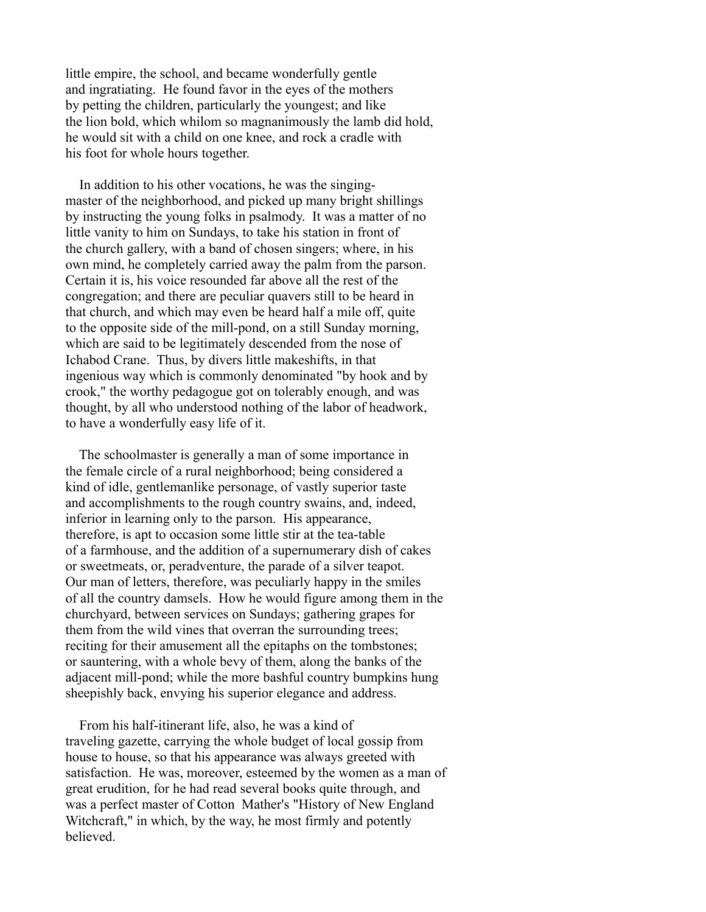little empire, the school, and became wonderfully gentle and ingratiating. He found favor in the eyes of the mothers by petting the children, particularly the youngest; and like the lion bold, which whilom so magnanimously the lamb did hold, he would sit with a child on one knee, and rock a cradle with his foot for whole hours together.

 In addition to his other vocations, he was the singingmaster of the neighborhood, and picked up many bright shillings by instructing the young folks in psalmody. It was a matter of no little vanity to him on Sundays, to take his station in front of the church gallery, with a band of chosen singers; where, in his own mind, he completely carried away the palm from the parson. Certain it is, his voice resounded far above all the rest of the congregation; and there are peculiar quavers still to be heard in that church, and which may even be heard half a mile off, quite to the opposite side of the mill-pond, on a still Sunday morning, which are said to be legitimately descended from the nose of Ichabod Crane. Thus, by divers little makeshifts, in that ingenious way which is commonly denominated "by hook and by crook," the worthy pedagogue got on tolerably enough, and was thought, by all who understood nothing of the labor of headwork, to have a wonderfully easy life of it.

 The schoolmaster is generally a man of some importance in the female circle of a rural neighborhood; being considered a kind of idle, gentlemanlike personage, of vastly superior taste and accomplishments to the rough country swains, and, indeed, inferior in learning only to the parson. His appearance, therefore, is apt to occasion some little stir at the tea-table of a farmhouse, and the addition of a supernumerary dish of cakes or sweetmeats, or, peradventure, the parade of a silver teapot. Our man of letters, therefore, was peculiarly happy in the smiles of all the country damsels. How he would figure among them in the churchyard, between services on Sundays; gathering grapes for them from the wild vines that overran the surrounding trees; reciting for their amusement all the epitaphs on the tombstones; or sauntering, with a whole bevy of them, along the banks of the adjacent mill-pond; while the more bashful country bumpkins hung sheepishly back, envying his superior elegance and address.

 From his half-itinerant life, also, he was a kind of traveling gazette, carrying the whole budget of local gossip from house to house, so that his appearance was always greeted with satisfaction. He was, moreover, esteemed by the women as a man of great erudition, for he had read several books quite through, and was a perfect master of Cotton Mather's "History of New England Witchcraft," in which, by the way, he most firmly and potently believed.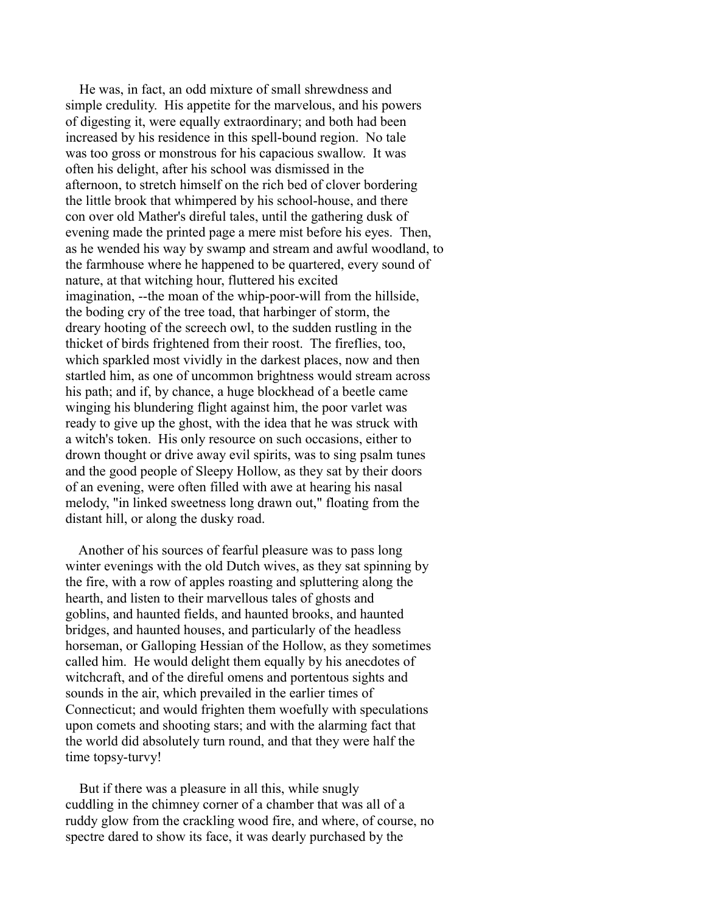He was, in fact, an odd mixture of small shrewdness and simple credulity. His appetite for the marvelous, and his powers of digesting it, were equally extraordinary; and both had been increased by his residence in this spell-bound region. No tale was too gross or monstrous for his capacious swallow. It was often his delight, after his school was dismissed in the afternoon, to stretch himself on the rich bed of clover bordering the little brook that whimpered by his school-house, and there con over old Mather's direful tales, until the gathering dusk of evening made the printed page a mere mist before his eyes. Then, as he wended his way by swamp and stream and awful woodland, to the farmhouse where he happened to be quartered, every sound of nature, at that witching hour, fluttered his excited imagination, --the moan of the whip-poor-will from the hillside, the boding cry of the tree toad, that harbinger of storm, the dreary hooting of the screech owl, to the sudden rustling in the thicket of birds frightened from their roost. The fireflies, too, which sparkled most vividly in the darkest places, now and then startled him, as one of uncommon brightness would stream across his path; and if, by chance, a huge blockhead of a beetle came winging his blundering flight against him, the poor varlet was ready to give up the ghost, with the idea that he was struck with a witch's token. His only resource on such occasions, either to drown thought or drive away evil spirits, was to sing psalm tunes and the good people of Sleepy Hollow, as they sat by their doors of an evening, were often filled with awe at hearing his nasal melody, "in linked sweetness long drawn out," floating from the distant hill, or along the dusky road.

 Another of his sources of fearful pleasure was to pass long winter evenings with the old Dutch wives, as they sat spinning by the fire, with a row of apples roasting and spluttering along the hearth, and listen to their marvellous tales of ghosts and goblins, and haunted fields, and haunted brooks, and haunted bridges, and haunted houses, and particularly of the headless horseman, or Galloping Hessian of the Hollow, as they sometimes called him. He would delight them equally by his anecdotes of witchcraft, and of the direful omens and portentous sights and sounds in the air, which prevailed in the earlier times of Connecticut; and would frighten them woefully with speculations upon comets and shooting stars; and with the alarming fact that the world did absolutely turn round, and that they were half the time topsy-turvy!

 But if there was a pleasure in all this, while snugly cuddling in the chimney corner of a chamber that was all of a ruddy glow from the crackling wood fire, and where, of course, no spectre dared to show its face, it was dearly purchased by the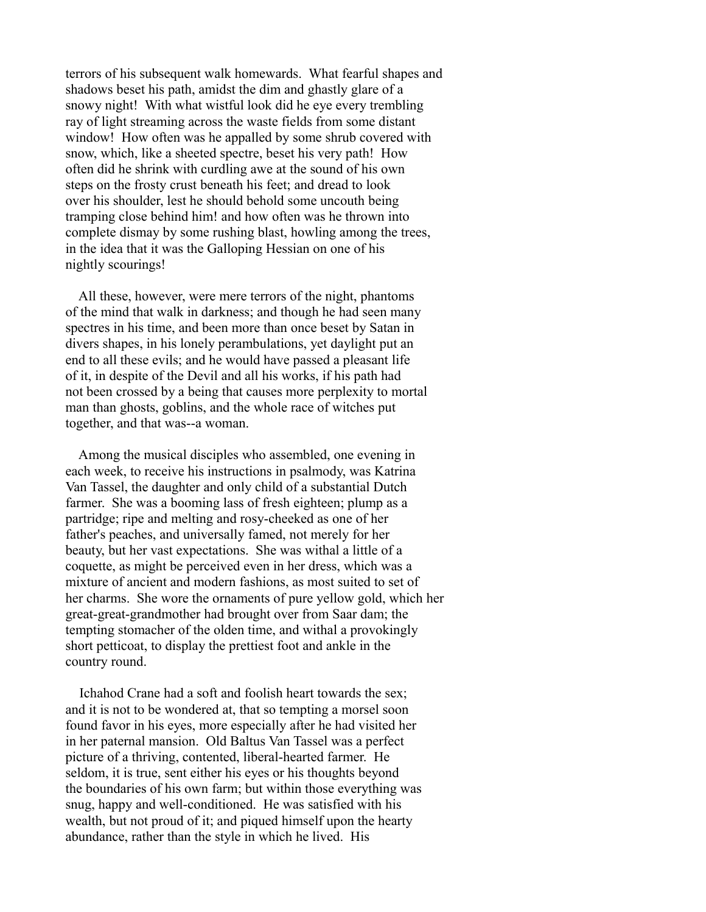terrors of his subsequent walk homewards. What fearful shapes and shadows beset his path, amidst the dim and ghastly glare of a snowy night! With what wistful look did he eye every trembling ray of light streaming across the waste fields from some distant window! How often was he appalled by some shrub covered with snow, which, like a sheeted spectre, beset his very path! How often did he shrink with curdling awe at the sound of his own steps on the frosty crust beneath his feet; and dread to look over his shoulder, lest he should behold some uncouth being tramping close behind him! and how often was he thrown into complete dismay by some rushing blast, howling among the trees, in the idea that it was the Galloping Hessian on one of his nightly scourings!

 All these, however, were mere terrors of the night, phantoms of the mind that walk in darkness; and though he had seen many spectres in his time, and been more than once beset by Satan in divers shapes, in his lonely perambulations, yet daylight put an end to all these evils; and he would have passed a pleasant life of it, in despite of the Devil and all his works, if his path had not been crossed by a being that causes more perplexity to mortal man than ghosts, goblins, and the whole race of witches put together, and that was--a woman.

 Among the musical disciples who assembled, one evening in each week, to receive his instructions in psalmody, was Katrina Van Tassel, the daughter and only child of a substantial Dutch farmer. She was a booming lass of fresh eighteen; plump as a partridge; ripe and melting and rosy-cheeked as one of her father's peaches, and universally famed, not merely for her beauty, but her vast expectations. She was withal a little of a coquette, as might be perceived even in her dress, which was a mixture of ancient and modern fashions, as most suited to set of her charms. She wore the ornaments of pure yellow gold, which her great-great-grandmother had brought over from Saar dam; the tempting stomacher of the olden time, and withal a provokingly short petticoat, to display the prettiest foot and ankle in the country round.

 Ichahod Crane had a soft and foolish heart towards the sex; and it is not to be wondered at, that so tempting a morsel soon found favor in his eyes, more especially after he had visited her in her paternal mansion. Old Baltus Van Tassel was a perfect picture of a thriving, contented, liberal-hearted farmer. He seldom, it is true, sent either his eyes or his thoughts beyond the boundaries of his own farm; but within those everything was snug, happy and well-conditioned. He was satisfied with his wealth, but not proud of it; and piqued himself upon the hearty abundance, rather than the style in which he lived. His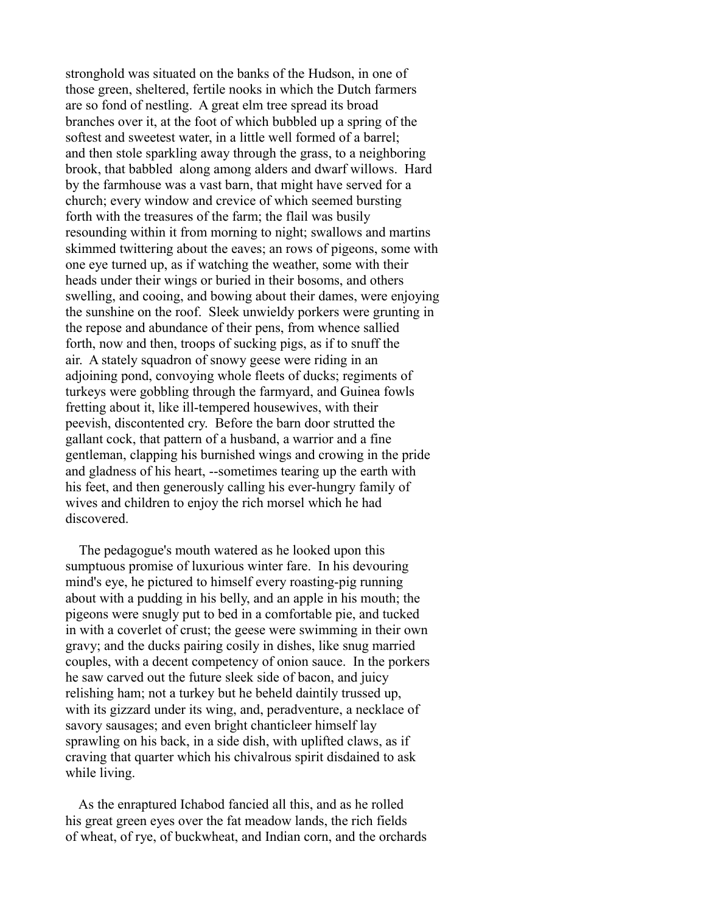stronghold was situated on the banks of the Hudson, in one of those green, sheltered, fertile nooks in which the Dutch farmers are so fond of nestling. A great elm tree spread its broad branches over it, at the foot of which bubbled up a spring of the softest and sweetest water, in a little well formed of a barrel; and then stole sparkling away through the grass, to a neighboring brook, that babbled along among alders and dwarf willows. Hard by the farmhouse was a vast barn, that might have served for a church; every window and crevice of which seemed bursting forth with the treasures of the farm; the flail was busily resounding within it from morning to night; swallows and martins skimmed twittering about the eaves; an rows of pigeons, some with one eye turned up, as if watching the weather, some with their heads under their wings or buried in their bosoms, and others swelling, and cooing, and bowing about their dames, were enjoying the sunshine on the roof. Sleek unwieldy porkers were grunting in the repose and abundance of their pens, from whence sallied forth, now and then, troops of sucking pigs, as if to snuff the air. A stately squadron of snowy geese were riding in an adjoining pond, convoying whole fleets of ducks; regiments of turkeys were gobbling through the farmyard, and Guinea fowls fretting about it, like ill-tempered housewives, with their peevish, discontented cry. Before the barn door strutted the gallant cock, that pattern of a husband, a warrior and a fine gentleman, clapping his burnished wings and crowing in the pride and gladness of his heart, --sometimes tearing up the earth with his feet, and then generously calling his ever-hungry family of wives and children to enjoy the rich morsel which he had discovered.

 The pedagogue's mouth watered as he looked upon this sumptuous promise of luxurious winter fare. In his devouring mind's eye, he pictured to himself every roasting-pig running about with a pudding in his belly, and an apple in his mouth; the pigeons were snugly put to bed in a comfortable pie, and tucked in with a coverlet of crust; the geese were swimming in their own gravy; and the ducks pairing cosily in dishes, like snug married couples, with a decent competency of onion sauce. In the porkers he saw carved out the future sleek side of bacon, and juicy relishing ham; not a turkey but he beheld daintily trussed up, with its gizzard under its wing, and, peradventure, a necklace of savory sausages; and even bright chanticleer himself lay sprawling on his back, in a side dish, with uplifted claws, as if craving that quarter which his chivalrous spirit disdained to ask while living.

 As the enraptured Ichabod fancied all this, and as he rolled his great green eyes over the fat meadow lands, the rich fields of wheat, of rye, of buckwheat, and Indian corn, and the orchards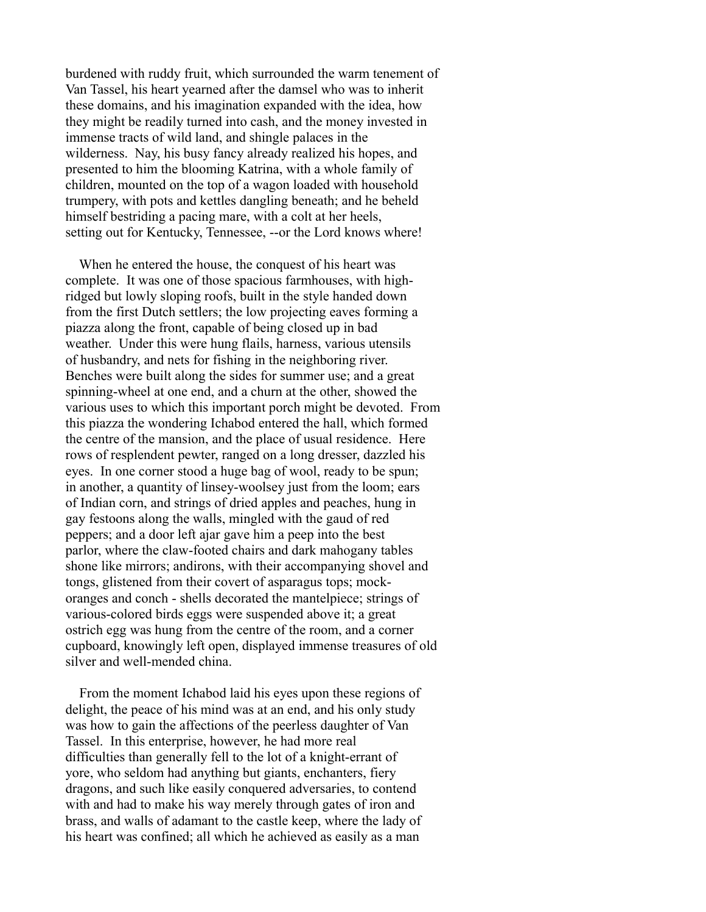burdened with ruddy fruit, which surrounded the warm tenement of Van Tassel, his heart yearned after the damsel who was to inherit these domains, and his imagination expanded with the idea, how they might be readily turned into cash, and the money invested in immense tracts of wild land, and shingle palaces in the wilderness. Nay, his busy fancy already realized his hopes, and presented to him the blooming Katrina, with a whole family of children, mounted on the top of a wagon loaded with household trumpery, with pots and kettles dangling beneath; and he beheld himself bestriding a pacing mare, with a colt at her heels, setting out for Kentucky, Tennessee, --or the Lord knows where!

 When he entered the house, the conquest of his heart was complete. It was one of those spacious farmhouses, with highridged but lowly sloping roofs, built in the style handed down from the first Dutch settlers; the low projecting eaves forming a piazza along the front, capable of being closed up in bad weather. Under this were hung flails, harness, various utensils of husbandry, and nets for fishing in the neighboring river. Benches were built along the sides for summer use; and a great spinning-wheel at one end, and a churn at the other, showed the various uses to which this important porch might be devoted. From this piazza the wondering Ichabod entered the hall, which formed the centre of the mansion, and the place of usual residence. Here rows of resplendent pewter, ranged on a long dresser, dazzled his eyes. In one corner stood a huge bag of wool, ready to be spun; in another, a quantity of linsey-woolsey just from the loom; ears of Indian corn, and strings of dried apples and peaches, hung in gay festoons along the walls, mingled with the gaud of red peppers; and a door left ajar gave him a peep into the best parlor, where the claw-footed chairs and dark mahogany tables shone like mirrors; andirons, with their accompanying shovel and tongs, glistened from their covert of asparagus tops; mockoranges and conch - shells decorated the mantelpiece; strings of various-colored birds eggs were suspended above it; a great ostrich egg was hung from the centre of the room, and a corner cupboard, knowingly left open, displayed immense treasures of old silver and well-mended china.

 From the moment Ichabod laid his eyes upon these regions of delight, the peace of his mind was at an end, and his only study was how to gain the affections of the peerless daughter of Van Tassel. In this enterprise, however, he had more real difficulties than generally fell to the lot of a knight-errant of yore, who seldom had anything but giants, enchanters, fiery dragons, and such like easily conquered adversaries, to contend with and had to make his way merely through gates of iron and brass, and walls of adamant to the castle keep, where the lady of his heart was confined; all which he achieved as easily as a man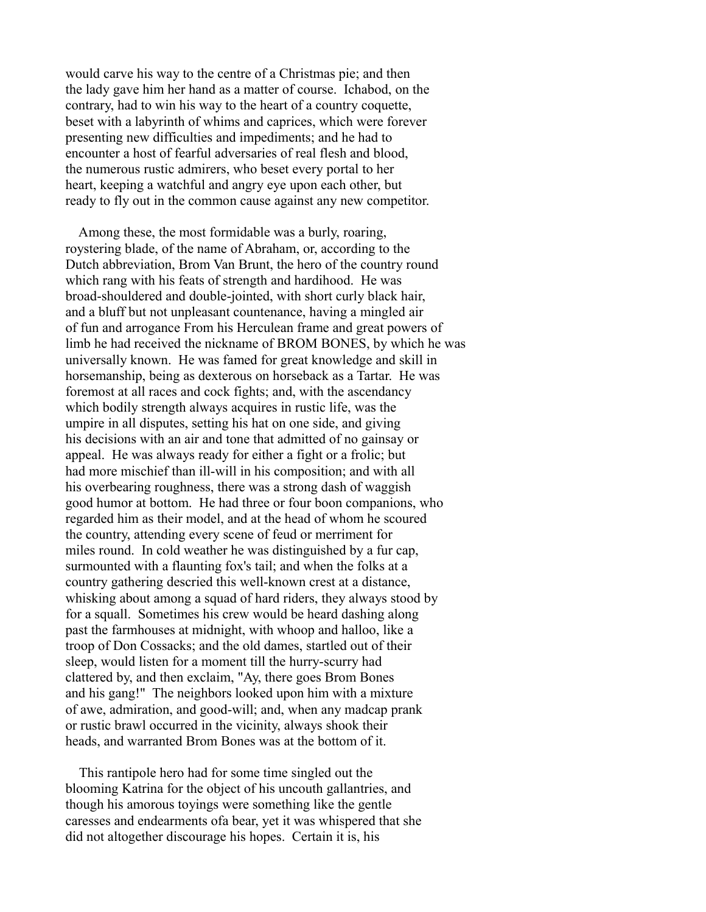would carve his way to the centre of a Christmas pie; and then the lady gave him her hand as a matter of course. Ichabod, on the contrary, had to win his way to the heart of a country coquette, beset with a labyrinth of whims and caprices, which were forever presenting new difficulties and impediments; and he had to encounter a host of fearful adversaries of real flesh and blood, the numerous rustic admirers, who beset every portal to her heart, keeping a watchful and angry eye upon each other, but ready to fly out in the common cause against any new competitor.

 Among these, the most formidable was a burly, roaring, roystering blade, of the name of Abraham, or, according to the Dutch abbreviation, Brom Van Brunt, the hero of the country round which rang with his feats of strength and hardihood. He was broad-shouldered and double-jointed, with short curly black hair, and a bluff but not unpleasant countenance, having a mingled air of fun and arrogance From his Herculean frame and great powers of limb he had received the nickname of BROM BONES, by which he was universally known. He was famed for great knowledge and skill in horsemanship, being as dexterous on horseback as a Tartar. He was foremost at all races and cock fights; and, with the ascendancy which bodily strength always acquires in rustic life, was the umpire in all disputes, setting his hat on one side, and giving his decisions with an air and tone that admitted of no gainsay or appeal. He was always ready for either a fight or a frolic; but had more mischief than ill-will in his composition; and with all his overbearing roughness, there was a strong dash of waggish good humor at bottom. He had three or four boon companions, who regarded him as their model, and at the head of whom he scoured the country, attending every scene of feud or merriment for miles round. In cold weather he was distinguished by a fur cap, surmounted with a flaunting fox's tail; and when the folks at a country gathering descried this well-known crest at a distance, whisking about among a squad of hard riders, they always stood by for a squall. Sometimes his crew would be heard dashing along past the farmhouses at midnight, with whoop and halloo, like a troop of Don Cossacks; and the old dames, startled out of their sleep, would listen for a moment till the hurry-scurry had clattered by, and then exclaim, "Ay, there goes Brom Bones and his gang!" The neighbors looked upon him with a mixture of awe, admiration, and good-will; and, when any madcap prank or rustic brawl occurred in the vicinity, always shook their heads, and warranted Brom Bones was at the bottom of it.

 This rantipole hero had for some time singled out the blooming Katrina for the object of his uncouth gallantries, and though his amorous toyings were something like the gentle caresses and endearments ofa bear, yet it was whispered that she did not altogether discourage his hopes. Certain it is, his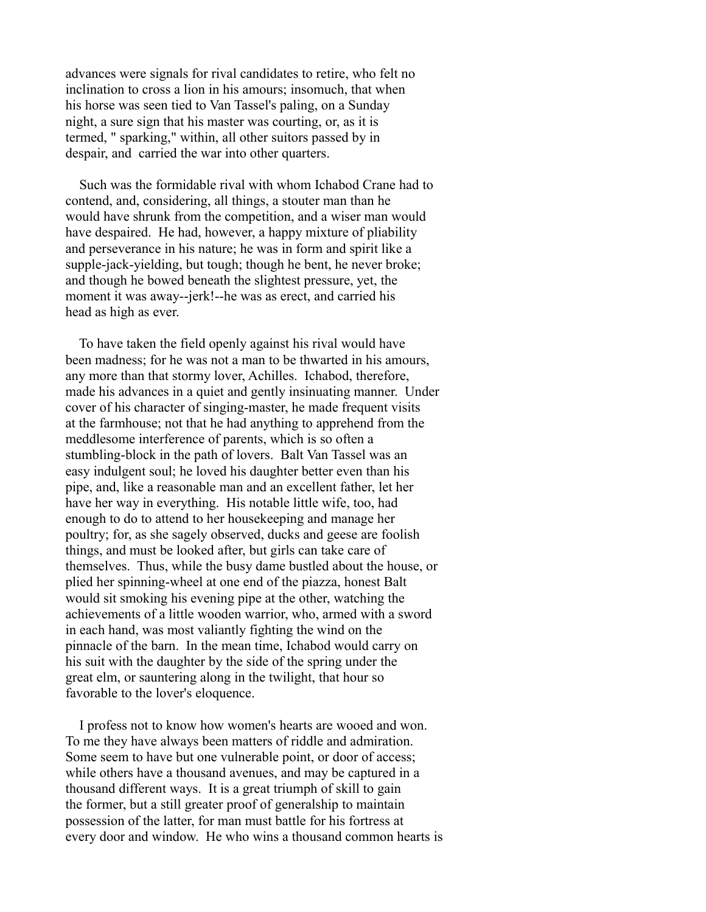advances were signals for rival candidates to retire, who felt no inclination to cross a lion in his amours; insomuch, that when his horse was seen tied to Van Tassel's paling, on a Sunday night, a sure sign that his master was courting, or, as it is termed, " sparking," within, all other suitors passed by in despair, and carried the war into other quarters.

 Such was the formidable rival with whom Ichabod Crane had to contend, and, considering, all things, a stouter man than he would have shrunk from the competition, and a wiser man would have despaired. He had, however, a happy mixture of pliability and perseverance in his nature; he was in form and spirit like a supple-jack-yielding, but tough; though he bent, he never broke; and though he bowed beneath the slightest pressure, yet, the moment it was away--jerk!--he was as erect, and carried his head as high as ever.

 To have taken the field openly against his rival would have been madness; for he was not a man to be thwarted in his amours, any more than that stormy lover, Achilles. Ichabod, therefore, made his advances in a quiet and gently insinuating manner. Under cover of his character of singing-master, he made frequent visits at the farmhouse; not that he had anything to apprehend from the meddlesome interference of parents, which is so often a stumbling-block in the path of lovers. Balt Van Tassel was an easy indulgent soul; he loved his daughter better even than his pipe, and, like a reasonable man and an excellent father, let her have her way in everything. His notable little wife, too, had enough to do to attend to her housekeeping and manage her poultry; for, as she sagely observed, ducks and geese are foolish things, and must be looked after, but girls can take care of themselves. Thus, while the busy dame bustled about the house, or plied her spinning-wheel at one end of the piazza, honest Balt would sit smoking his evening pipe at the other, watching the achievements of a little wooden warrior, who, armed with a sword in each hand, was most valiantly fighting the wind on the pinnacle of the barn. In the mean time, Ichabod would carry on his suit with the daughter by the side of the spring under the great elm, or sauntering along in the twilight, that hour so favorable to the lover's eloquence.

 I profess not to know how women's hearts are wooed and won. To me they have always been matters of riddle and admiration. Some seem to have but one vulnerable point, or door of access; while others have a thousand avenues, and may be captured in a thousand different ways. It is a great triumph of skill to gain the former, but a still greater proof of generalship to maintain possession of the latter, for man must battle for his fortress at every door and window. He who wins a thousand common hearts is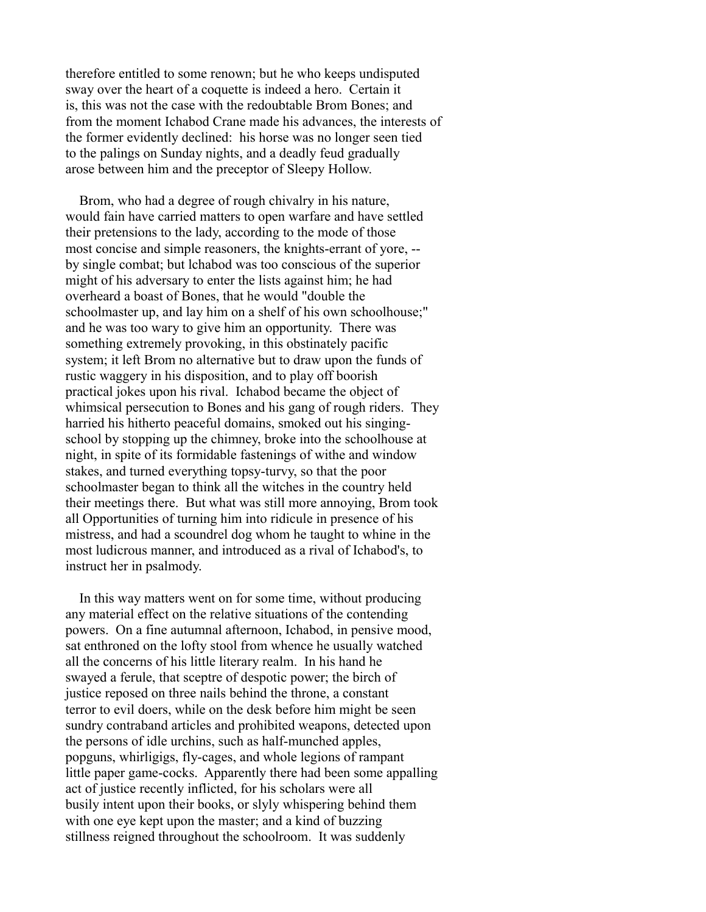therefore entitled to some renown; but he who keeps undisputed sway over the heart of a coquette is indeed a hero. Certain it is, this was not the case with the redoubtable Brom Bones; and from the moment Ichabod Crane made his advances, the interests of the former evidently declined: his horse was no longer seen tied to the palings on Sunday nights, and a deadly feud gradually arose between him and the preceptor of Sleepy Hollow.

 Brom, who had a degree of rough chivalry in his nature, would fain have carried matters to open warfare and have settled their pretensions to the lady, according to the mode of those most concise and simple reasoners, the knights-errant of yore, - by single combat; but lchabod was too conscious of the superior might of his adversary to enter the lists against him; he had overheard a boast of Bones, that he would "double the schoolmaster up, and lay him on a shelf of his own schoolhouse;" and he was too wary to give him an opportunity. There was something extremely provoking, in this obstinately pacific system; it left Brom no alternative but to draw upon the funds of rustic waggery in his disposition, and to play off boorish practical jokes upon his rival. Ichabod became the object of whimsical persecution to Bones and his gang of rough riders. They harried his hitherto peaceful domains, smoked out his singingschool by stopping up the chimney, broke into the schoolhouse at night, in spite of its formidable fastenings of withe and window stakes, and turned everything topsy-turvy, so that the poor schoolmaster began to think all the witches in the country held their meetings there. But what was still more annoying, Brom took all Opportunities of turning him into ridicule in presence of his mistress, and had a scoundrel dog whom he taught to whine in the most ludicrous manner, and introduced as a rival of Ichabod's, to instruct her in psalmody.

 In this way matters went on for some time, without producing any material effect on the relative situations of the contending powers. On a fine autumnal afternoon, Ichabod, in pensive mood, sat enthroned on the lofty stool from whence he usually watched all the concerns of his little literary realm. In his hand he swayed a ferule, that sceptre of despotic power; the birch of justice reposed on three nails behind the throne, a constant terror to evil doers, while on the desk before him might be seen sundry contraband articles and prohibited weapons, detected upon the persons of idle urchins, such as half-munched apples, popguns, whirligigs, fly-cages, and whole legions of rampant little paper game-cocks. Apparently there had been some appalling act of justice recently inflicted, for his scholars were all busily intent upon their books, or slyly whispering behind them with one eye kept upon the master; and a kind of buzzing stillness reigned throughout the schoolroom. It was suddenly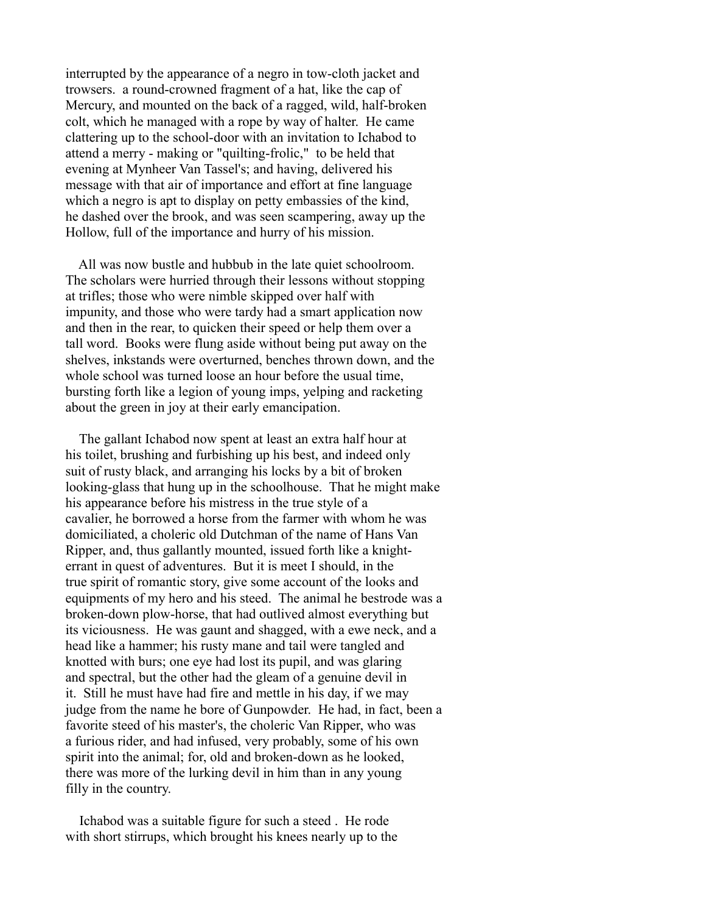interrupted by the appearance of a negro in tow-cloth jacket and trowsers. a round-crowned fragment of a hat, like the cap of Mercury, and mounted on the back of a ragged, wild, half-broken colt, which he managed with a rope by way of halter. He came clattering up to the school-door with an invitation to Ichabod to attend a merry - making or "quilting-frolic," to be held that evening at Mynheer Van Tassel's; and having, delivered his message with that air of importance and effort at fine language which a negro is apt to display on petty embassies of the kind, he dashed over the brook, and was seen scampering, away up the Hollow, full of the importance and hurry of his mission.

 All was now bustle and hubbub in the late quiet schoolroom. The scholars were hurried through their lessons without stopping at trifles; those who were nimble skipped over half with impunity, and those who were tardy had a smart application now and then in the rear, to quicken their speed or help them over a tall word. Books were flung aside without being put away on the shelves, inkstands were overturned, benches thrown down, and the whole school was turned loose an hour before the usual time, bursting forth like a legion of young imps, yelping and racketing about the green in joy at their early emancipation.

 The gallant Ichabod now spent at least an extra half hour at his toilet, brushing and furbishing up his best, and indeed only suit of rusty black, and arranging his locks by a bit of broken looking-glass that hung up in the schoolhouse. That he might make his appearance before his mistress in the true style of a cavalier, he borrowed a horse from the farmer with whom he was domiciliated, a choleric old Dutchman of the name of Hans Van Ripper, and, thus gallantly mounted, issued forth like a knighterrant in quest of adventures. But it is meet I should, in the true spirit of romantic story, give some account of the looks and equipments of my hero and his steed. The animal he bestrode was a broken-down plow-horse, that had outlived almost everything but its viciousness. He was gaunt and shagged, with a ewe neck, and a head like a hammer; his rusty mane and tail were tangled and knotted with burs; one eye had lost its pupil, and was glaring and spectral, but the other had the gleam of a genuine devil in it. Still he must have had fire and mettle in his day, if we may judge from the name he bore of Gunpowder. He had, in fact, been a favorite steed of his master's, the choleric Van Ripper, who was a furious rider, and had infused, very probably, some of his own spirit into the animal; for, old and broken-down as he looked, there was more of the lurking devil in him than in any young filly in the country.

 Ichabod was a suitable figure for such a steed . He rode with short stirrups, which brought his knees nearly up to the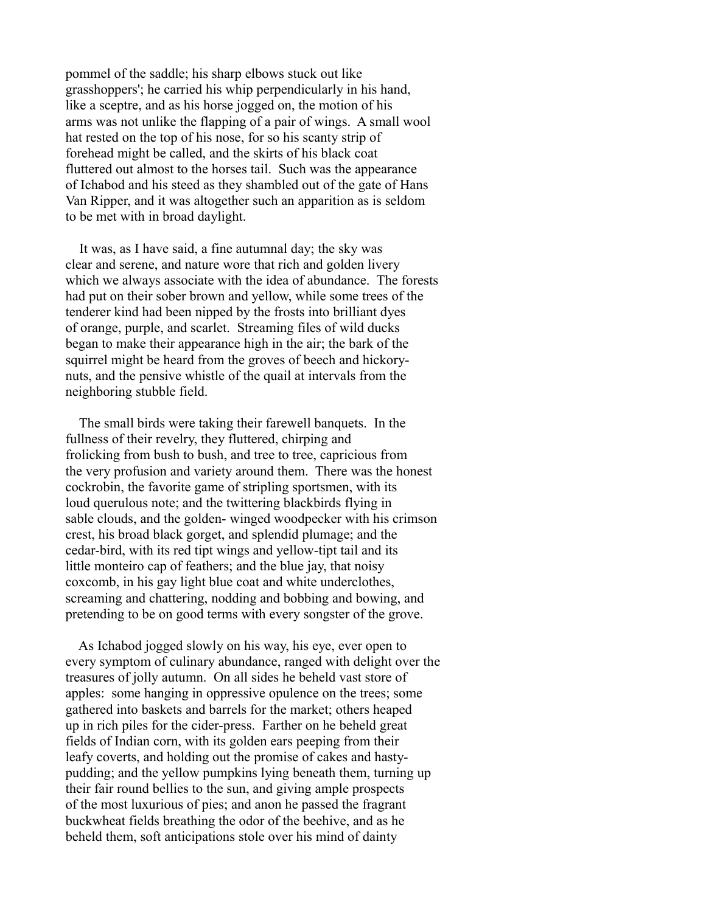pommel of the saddle; his sharp elbows stuck out like grasshoppers'; he carried his whip perpendicularly in his hand, like a sceptre, and as his horse jogged on, the motion of his arms was not unlike the flapping of a pair of wings. A small wool hat rested on the top of his nose, for so his scanty strip of forehead might be called, and the skirts of his black coat fluttered out almost to the horses tail. Such was the appearance of Ichabod and his steed as they shambled out of the gate of Hans Van Ripper, and it was altogether such an apparition as is seldom to be met with in broad daylight.

 It was, as I have said, a fine autumnal day; the sky was clear and serene, and nature wore that rich and golden livery which we always associate with the idea of abundance. The forests had put on their sober brown and yellow, while some trees of the tenderer kind had been nipped by the frosts into brilliant dyes of orange, purple, and scarlet. Streaming files of wild ducks began to make their appearance high in the air; the bark of the squirrel might be heard from the groves of beech and hickorynuts, and the pensive whistle of the quail at intervals from the neighboring stubble field.

 The small birds were taking their farewell banquets. In the fullness of their revelry, they fluttered, chirping and frolicking from bush to bush, and tree to tree, capricious from the very profusion and variety around them. There was the honest cockrobin, the favorite game of stripling sportsmen, with its loud querulous note; and the twittering blackbirds flying in sable clouds, and the golden- winged woodpecker with his crimson crest, his broad black gorget, and splendid plumage; and the cedar-bird, with its red tipt wings and yellow-tipt tail and its little monteiro cap of feathers; and the blue jay, that noisy coxcomb, in his gay light blue coat and white underclothes, screaming and chattering, nodding and bobbing and bowing, and pretending to be on good terms with every songster of the grove.

 As Ichabod jogged slowly on his way, his eye, ever open to every symptom of culinary abundance, ranged with delight over the treasures of jolly autumn. On all sides he beheld vast store of apples: some hanging in oppressive opulence on the trees; some gathered into baskets and barrels for the market; others heaped up in rich piles for the cider-press. Farther on he beheld great fields of Indian corn, with its golden ears peeping from their leafy coverts, and holding out the promise of cakes and hastypudding; and the yellow pumpkins lying beneath them, turning up their fair round bellies to the sun, and giving ample prospects of the most luxurious of pies; and anon he passed the fragrant buckwheat fields breathing the odor of the beehive, and as he beheld them, soft anticipations stole over his mind of dainty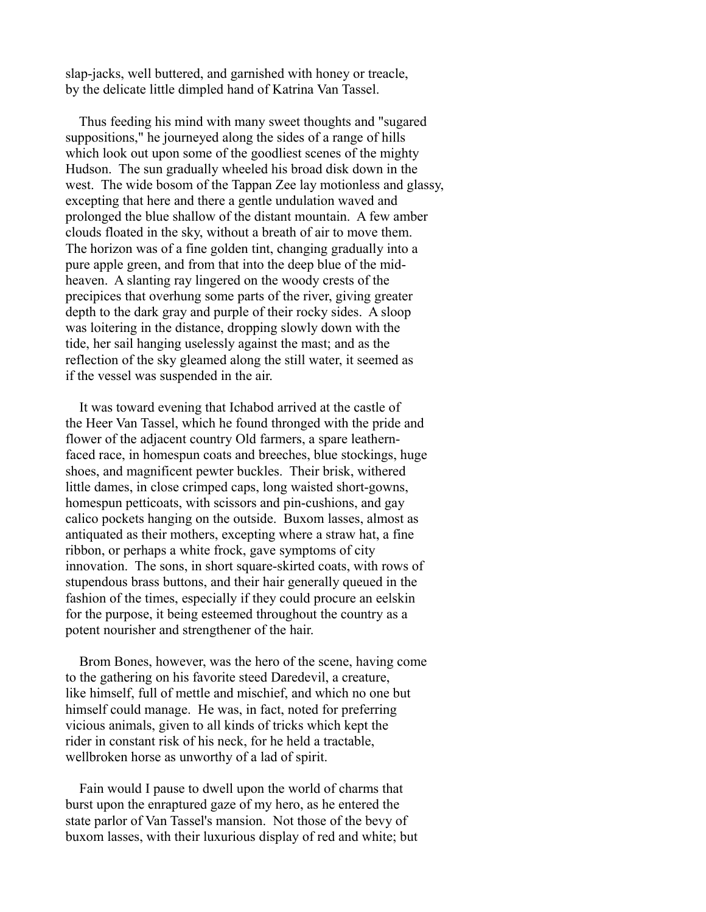slap-jacks, well buttered, and garnished with honey or treacle, by the delicate little dimpled hand of Katrina Van Tassel.

 Thus feeding his mind with many sweet thoughts and "sugared suppositions," he journeyed along the sides of a range of hills which look out upon some of the goodliest scenes of the mighty Hudson. The sun gradually wheeled his broad disk down in the west. The wide bosom of the Tappan Zee lay motionless and glassy, excepting that here and there a gentle undulation waved and prolonged the blue shallow of the distant mountain. A few amber clouds floated in the sky, without a breath of air to move them. The horizon was of a fine golden tint, changing gradually into a pure apple green, and from that into the deep blue of the midheaven. A slanting ray lingered on the woody crests of the precipices that overhung some parts of the river, giving greater depth to the dark gray and purple of their rocky sides. A sloop was loitering in the distance, dropping slowly down with the tide, her sail hanging uselessly against the mast; and as the reflection of the sky gleamed along the still water, it seemed as if the vessel was suspended in the air.

 It was toward evening that Ichabod arrived at the castle of the Heer Van Tassel, which he found thronged with the pride and flower of the adjacent country Old farmers, a spare leathernfaced race, in homespun coats and breeches, blue stockings, huge shoes, and magnificent pewter buckles. Their brisk, withered little dames, in close crimped caps, long waisted short-gowns, homespun petticoats, with scissors and pin-cushions, and gay calico pockets hanging on the outside. Buxom lasses, almost as antiquated as their mothers, excepting where a straw hat, a fine ribbon, or perhaps a white frock, gave symptoms of city innovation. The sons, in short square-skirted coats, with rows of stupendous brass buttons, and their hair generally queued in the fashion of the times, especially if they could procure an eelskin for the purpose, it being esteemed throughout the country as a potent nourisher and strengthener of the hair.

 Brom Bones, however, was the hero of the scene, having come to the gathering on his favorite steed Daredevil, a creature, like himself, full of mettle and mischief, and which no one but himself could manage. He was, in fact, noted for preferring vicious animals, given to all kinds of tricks which kept the rider in constant risk of his neck, for he held a tractable, wellbroken horse as unworthy of a lad of spirit.

 Fain would I pause to dwell upon the world of charms that burst upon the enraptured gaze of my hero, as he entered the state parlor of Van Tassel's mansion. Not those of the bevy of buxom lasses, with their luxurious display of red and white; but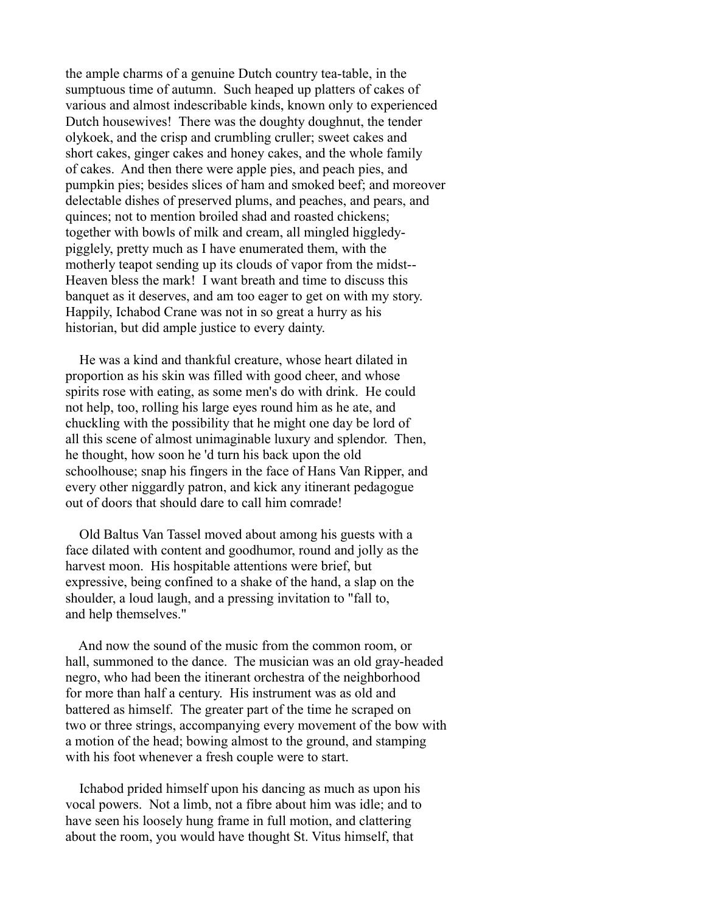the ample charms of a genuine Dutch country tea-table, in the sumptuous time of autumn. Such heaped up platters of cakes of various and almost indescribable kinds, known only to experienced Dutch housewives! There was the doughty doughnut, the tender olykoek, and the crisp and crumbling cruller; sweet cakes and short cakes, ginger cakes and honey cakes, and the whole family of cakes. And then there were apple pies, and peach pies, and pumpkin pies; besides slices of ham and smoked beef; and moreover delectable dishes of preserved plums, and peaches, and pears, and quinces; not to mention broiled shad and roasted chickens; together with bowls of milk and cream, all mingled higgledypigglely, pretty much as I have enumerated them, with the motherly teapot sending up its clouds of vapor from the midst-- Heaven bless the mark! I want breath and time to discuss this banquet as it deserves, and am too eager to get on with my story. Happily, Ichabod Crane was not in so great a hurry as his historian, but did ample justice to every dainty.

 He was a kind and thankful creature, whose heart dilated in proportion as his skin was filled with good cheer, and whose spirits rose with eating, as some men's do with drink. He could not help, too, rolling his large eyes round him as he ate, and chuckling with the possibility that he might one day be lord of all this scene of almost unimaginable luxury and splendor. Then, he thought, how soon he 'd turn his back upon the old schoolhouse; snap his fingers in the face of Hans Van Ripper, and every other niggardly patron, and kick any itinerant pedagogue out of doors that should dare to call him comrade!

 Old Baltus Van Tassel moved about among his guests with a face dilated with content and goodhumor, round and jolly as the harvest moon. His hospitable attentions were brief, but expressive, being confined to a shake of the hand, a slap on the shoulder, a loud laugh, and a pressing invitation to "fall to, and help themselves."

 And now the sound of the music from the common room, or hall, summoned to the dance. The musician was an old gray-headed negro, who had been the itinerant orchestra of the neighborhood for more than half a century. His instrument was as old and battered as himself. The greater part of the time he scraped on two or three strings, accompanying every movement of the bow with a motion of the head; bowing almost to the ground, and stamping with his foot whenever a fresh couple were to start.

 Ichabod prided himself upon his dancing as much as upon his vocal powers. Not a limb, not a fibre about him was idle; and to have seen his loosely hung frame in full motion, and clattering about the room, you would have thought St. Vitus himself, that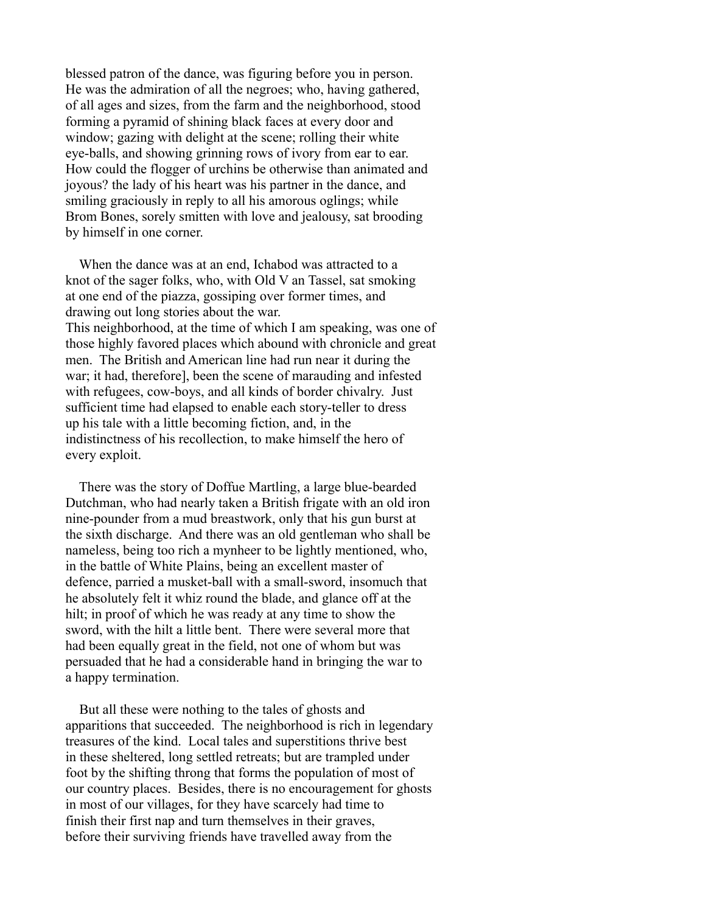blessed patron of the dance, was figuring before you in person. He was the admiration of all the negroes; who, having gathered, of all ages and sizes, from the farm and the neighborhood, stood forming a pyramid of shining black faces at every door and window; gazing with delight at the scene; rolling their white eye-balls, and showing grinning rows of ivory from ear to ear. How could the flogger of urchins be otherwise than animated and joyous? the lady of his heart was his partner in the dance, and smiling graciously in reply to all his amorous oglings; while Brom Bones, sorely smitten with love and jealousy, sat brooding by himself in one corner.

 When the dance was at an end, Ichabod was attracted to a knot of the sager folks, who, with Old V an Tassel, sat smoking at one end of the piazza, gossiping over former times, and drawing out long stories about the war. This neighborhood, at the time of which I am speaking, was one of those highly favored places which abound with chronicle and great men. The British and American line had run near it during the war; it had, therefore], been the scene of marauding and infested with refugees, cow-boys, and all kinds of border chivalry. Just sufficient time had elapsed to enable each story-teller to dress up his tale with a little becoming fiction, and, in the indistinctness of his recollection, to make himself the hero of every exploit.

 There was the story of Doffue Martling, a large blue-bearded Dutchman, who had nearly taken a British frigate with an old iron nine-pounder from a mud breastwork, only that his gun burst at the sixth discharge. And there was an old gentleman who shall be nameless, being too rich a mynheer to be lightly mentioned, who, in the battle of White Plains, being an excellent master of defence, parried a musket-ball with a small-sword, insomuch that he absolutely felt it whiz round the blade, and glance off at the hilt; in proof of which he was ready at any time to show the sword, with the hilt a little bent. There were several more that had been equally great in the field, not one of whom but was persuaded that he had a considerable hand in bringing the war to a happy termination.

 But all these were nothing to the tales of ghosts and apparitions that succeeded. The neighborhood is rich in legendary treasures of the kind. Local tales and superstitions thrive best in these sheltered, long settled retreats; but are trampled under foot by the shifting throng that forms the population of most of our country places. Besides, there is no encouragement for ghosts in most of our villages, for they have scarcely had time to finish their first nap and turn themselves in their graves, before their surviving friends have travelled away from the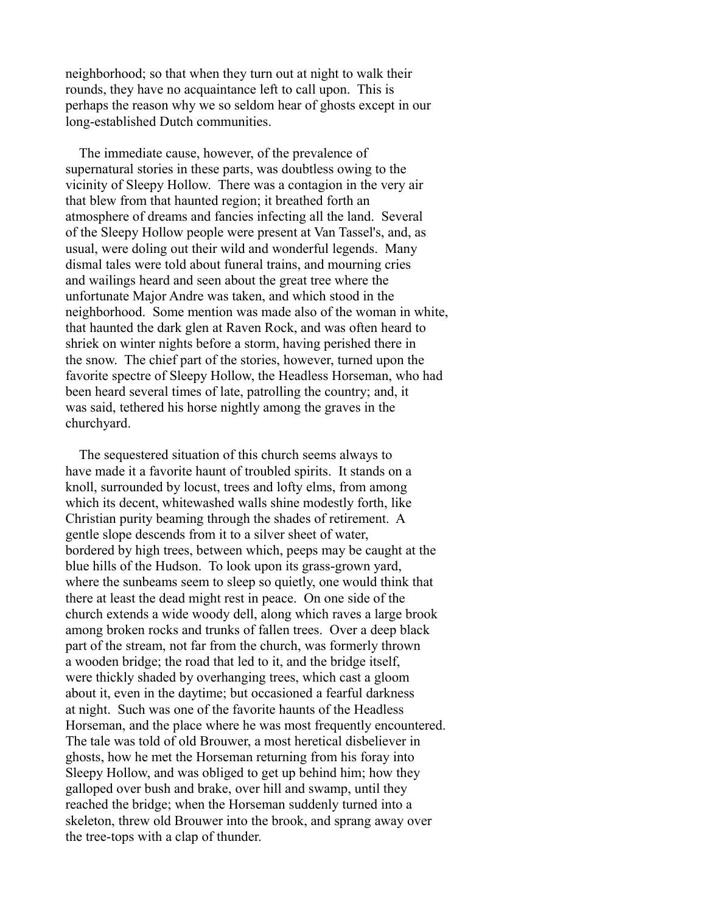neighborhood; so that when they turn out at night to walk their rounds, they have no acquaintance left to call upon. This is perhaps the reason why we so seldom hear of ghosts except in our long-established Dutch communities.

 The immediate cause, however, of the prevalence of supernatural stories in these parts, was doubtless owing to the vicinity of Sleepy Hollow. There was a contagion in the very air that blew from that haunted region; it breathed forth an atmosphere of dreams and fancies infecting all the land. Several of the Sleepy Hollow people were present at Van Tassel's, and, as usual, were doling out their wild and wonderful legends. Many dismal tales were told about funeral trains, and mourning cries and wailings heard and seen about the great tree where the unfortunate Major Andre was taken, and which stood in the neighborhood. Some mention was made also of the woman in white, that haunted the dark glen at Raven Rock, and was often heard to shriek on winter nights before a storm, having perished there in the snow. The chief part of the stories, however, turned upon the favorite spectre of Sleepy Hollow, the Headless Horseman, who had been heard several times of late, patrolling the country; and, it was said, tethered his horse nightly among the graves in the churchyard.

 The sequestered situation of this church seems always to have made it a favorite haunt of troubled spirits. It stands on a knoll, surrounded by locust, trees and lofty elms, from among which its decent, whitewashed walls shine modestly forth, like Christian purity beaming through the shades of retirement. A gentle slope descends from it to a silver sheet of water, bordered by high trees, between which, peeps may be caught at the blue hills of the Hudson. To look upon its grass-grown yard, where the sunbeams seem to sleep so quietly, one would think that there at least the dead might rest in peace. On one side of the church extends a wide woody dell, along which raves a large brook among broken rocks and trunks of fallen trees. Over a deep black part of the stream, not far from the church, was formerly thrown a wooden bridge; the road that led to it, and the bridge itself, were thickly shaded by overhanging trees, which cast a gloom about it, even in the daytime; but occasioned a fearful darkness at night. Such was one of the favorite haunts of the Headless Horseman, and the place where he was most frequently encountered. The tale was told of old Brouwer, a most heretical disbeliever in ghosts, how he met the Horseman returning from his foray into Sleepy Hollow, and was obliged to get up behind him; how they galloped over bush and brake, over hill and swamp, until they reached the bridge; when the Horseman suddenly turned into a skeleton, threw old Brouwer into the brook, and sprang away over the tree-tops with a clap of thunder.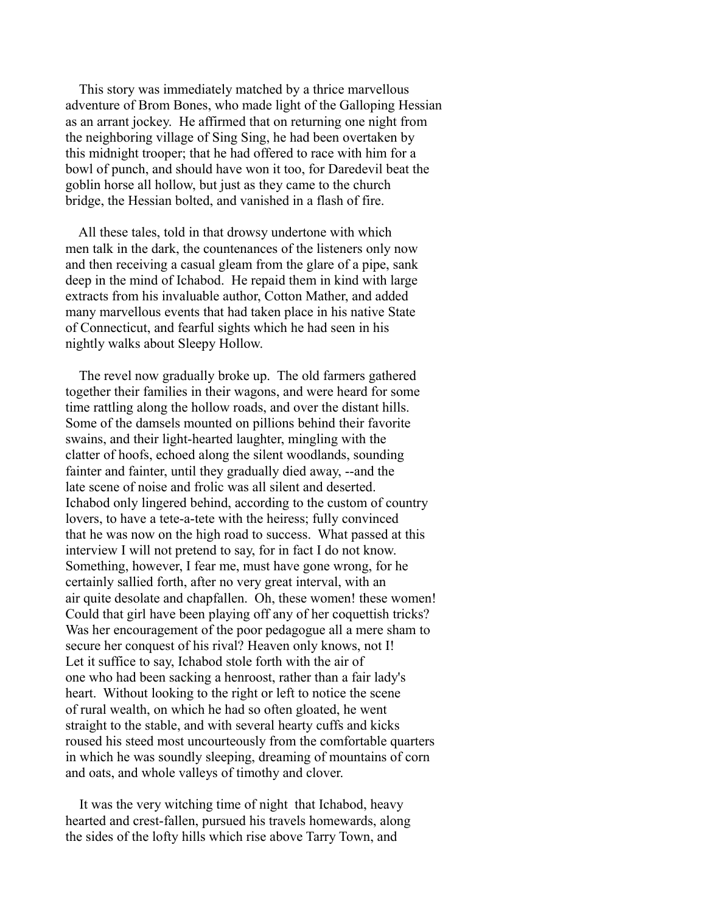This story was immediately matched by a thrice marvellous adventure of Brom Bones, who made light of the Galloping Hessian as an arrant jockey. He affirmed that on returning one night from the neighboring village of Sing Sing, he had been overtaken by this midnight trooper; that he had offered to race with him for a bowl of punch, and should have won it too, for Daredevil beat the goblin horse all hollow, but just as they came to the church bridge, the Hessian bolted, and vanished in a flash of fire.

 All these tales, told in that drowsy undertone with which men talk in the dark, the countenances of the listeners only now and then receiving a casual gleam from the glare of a pipe, sank deep in the mind of Ichabod. He repaid them in kind with large extracts from his invaluable author, Cotton Mather, and added many marvellous events that had taken place in his native State of Connecticut, and fearful sights which he had seen in his nightly walks about Sleepy Hollow.

 The revel now gradually broke up. The old farmers gathered together their families in their wagons, and were heard for some time rattling along the hollow roads, and over the distant hills. Some of the damsels mounted on pillions behind their favorite swains, and their light-hearted laughter, mingling with the clatter of hoofs, echoed along the silent woodlands, sounding fainter and fainter, until they gradually died away, --and the late scene of noise and frolic was all silent and deserted. Ichabod only lingered behind, according to the custom of country lovers, to have a tete-a-tete with the heiress; fully convinced that he was now on the high road to success. What passed at this interview I will not pretend to say, for in fact I do not know. Something, however, I fear me, must have gone wrong, for he certainly sallied forth, after no very great interval, with an air quite desolate and chapfallen. Oh, these women! these women! Could that girl have been playing off any of her coquettish tricks? Was her encouragement of the poor pedagogue all a mere sham to secure her conquest of his rival? Heaven only knows, not I! Let it suffice to say, Ichabod stole forth with the air of one who had been sacking a henroost, rather than a fair lady's heart. Without looking to the right or left to notice the scene of rural wealth, on which he had so often gloated, he went straight to the stable, and with several hearty cuffs and kicks roused his steed most uncourteously from the comfortable quarters in which he was soundly sleeping, dreaming of mountains of corn and oats, and whole valleys of timothy and clover.

 It was the very witching time of night that Ichabod, heavy hearted and crest-fallen, pursued his travels homewards, along the sides of the lofty hills which rise above Tarry Town, and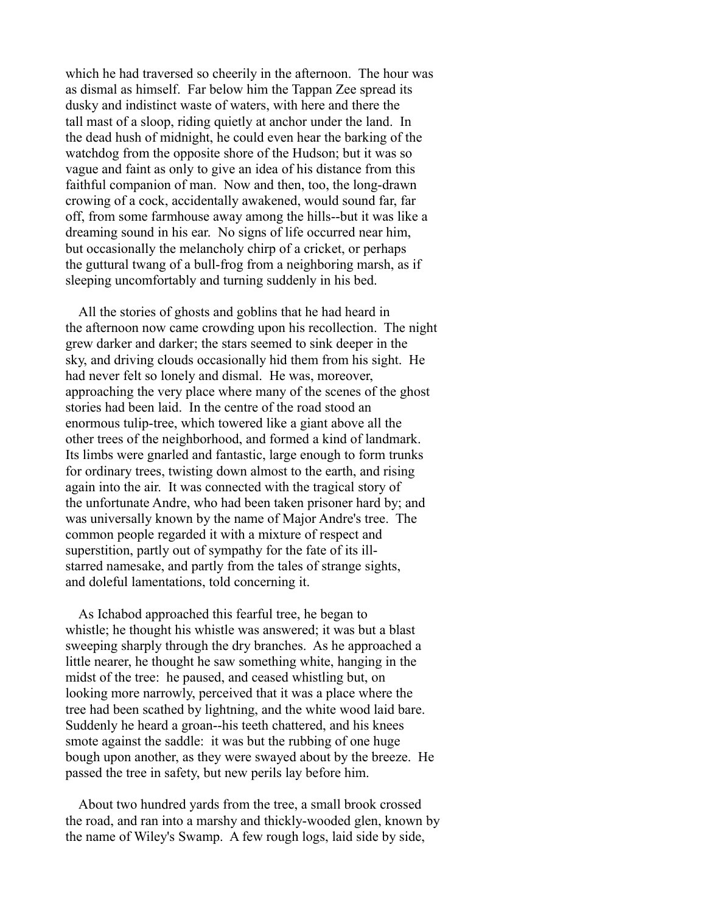which he had traversed so cheerily in the afternoon. The hour was as dismal as himself. Far below him the Tappan Zee spread its dusky and indistinct waste of waters, with here and there the tall mast of a sloop, riding quietly at anchor under the land. In the dead hush of midnight, he could even hear the barking of the watchdog from the opposite shore of the Hudson; but it was so vague and faint as only to give an idea of his distance from this faithful companion of man. Now and then, too, the long-drawn crowing of a cock, accidentally awakened, would sound far, far off, from some farmhouse away among the hills--but it was like a dreaming sound in his ear. No signs of life occurred near him, but occasionally the melancholy chirp of a cricket, or perhaps the guttural twang of a bull-frog from a neighboring marsh, as if sleeping uncomfortably and turning suddenly in his bed.

 All the stories of ghosts and goblins that he had heard in the afternoon now came crowding upon his recollection. The night grew darker and darker; the stars seemed to sink deeper in the sky, and driving clouds occasionally hid them from his sight. He had never felt so lonely and dismal. He was, moreover, approaching the very place where many of the scenes of the ghost stories had been laid. In the centre of the road stood an enormous tulip-tree, which towered like a giant above all the other trees of the neighborhood, and formed a kind of landmark. Its limbs were gnarled and fantastic, large enough to form trunks for ordinary trees, twisting down almost to the earth, and rising again into the air. It was connected with the tragical story of the unfortunate Andre, who had been taken prisoner hard by; and was universally known by the name of Major Andre's tree. The common people regarded it with a mixture of respect and superstition, partly out of sympathy for the fate of its illstarred namesake, and partly from the tales of strange sights, and doleful lamentations, told concerning it.

 As Ichabod approached this fearful tree, he began to whistle; he thought his whistle was answered; it was but a blast sweeping sharply through the dry branches. As he approached a little nearer, he thought he saw something white, hanging in the midst of the tree: he paused, and ceased whistling but, on looking more narrowly, perceived that it was a place where the tree had been scathed by lightning, and the white wood laid bare. Suddenly he heard a groan--his teeth chattered, and his knees smote against the saddle: it was but the rubbing of one huge bough upon another, as they were swayed about by the breeze. He passed the tree in safety, but new perils lay before him.

 About two hundred yards from the tree, a small brook crossed the road, and ran into a marshy and thickly-wooded glen, known by the name of Wiley's Swamp. A few rough logs, laid side by side,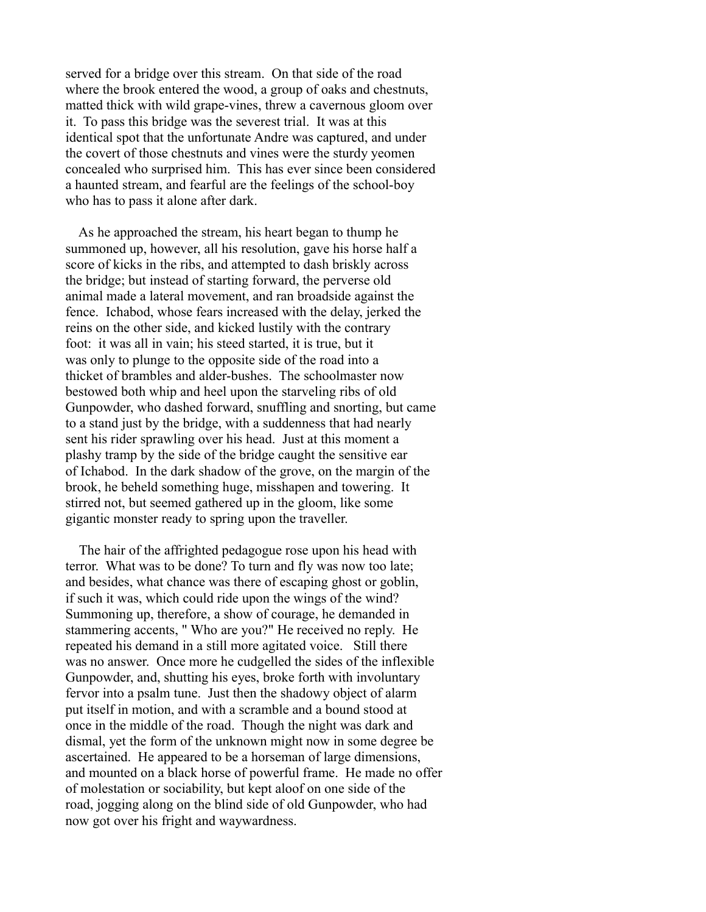served for a bridge over this stream. On that side of the road where the brook entered the wood, a group of oaks and chestnuts, matted thick with wild grape-vines, threw a cavernous gloom over it. To pass this bridge was the severest trial. It was at this identical spot that the unfortunate Andre was captured, and under the covert of those chestnuts and vines were the sturdy yeomen concealed who surprised him. This has ever since been considered a haunted stream, and fearful are the feelings of the school-boy who has to pass it alone after dark.

 As he approached the stream, his heart began to thump he summoned up, however, all his resolution, gave his horse half a score of kicks in the ribs, and attempted to dash briskly across the bridge; but instead of starting forward, the perverse old animal made a lateral movement, and ran broadside against the fence. Ichabod, whose fears increased with the delay, jerked the reins on the other side, and kicked lustily with the contrary foot: it was all in vain; his steed started, it is true, but it was only to plunge to the opposite side of the road into a thicket of brambles and alder-bushes. The schoolmaster now bestowed both whip and heel upon the starveling ribs of old Gunpowder, who dashed forward, snuffling and snorting, but came to a stand just by the bridge, with a suddenness that had nearly sent his rider sprawling over his head. Just at this moment a plashy tramp by the side of the bridge caught the sensitive ear of Ichabod. In the dark shadow of the grove, on the margin of the brook, he beheld something huge, misshapen and towering. It stirred not, but seemed gathered up in the gloom, like some gigantic monster ready to spring upon the traveller.

 The hair of the affrighted pedagogue rose upon his head with terror. What was to be done? To turn and fly was now too late; and besides, what chance was there of escaping ghost or goblin, if such it was, which could ride upon the wings of the wind? Summoning up, therefore, a show of courage, he demanded in stammering accents, " Who are you?" He received no reply. He repeated his demand in a still more agitated voice. Still there was no answer. Once more he cudgelled the sides of the inflexible Gunpowder, and, shutting his eyes, broke forth with involuntary fervor into a psalm tune. Just then the shadowy object of alarm put itself in motion, and with a scramble and a bound stood at once in the middle of the road. Though the night was dark and dismal, yet the form of the unknown might now in some degree be ascertained. He appeared to be a horseman of large dimensions, and mounted on a black horse of powerful frame. He made no offer of molestation or sociability, but kept aloof on one side of the road, jogging along on the blind side of old Gunpowder, who had now got over his fright and waywardness.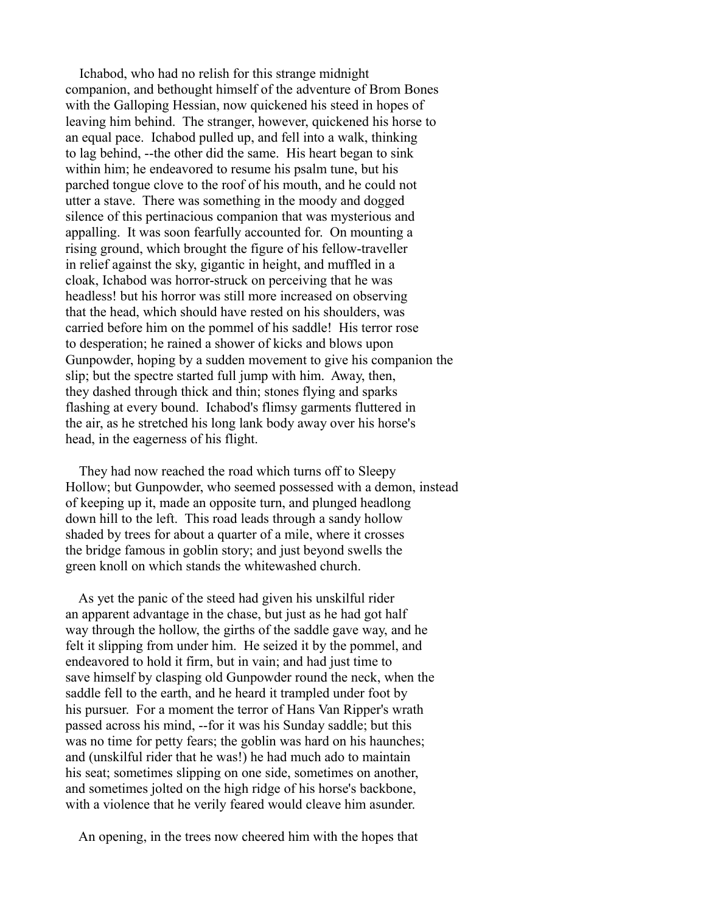Ichabod, who had no relish for this strange midnight companion, and bethought himself of the adventure of Brom Bones with the Galloping Hessian, now quickened his steed in hopes of leaving him behind. The stranger, however, quickened his horse to an equal pace. Ichabod pulled up, and fell into a walk, thinking to lag behind, --the other did the same. His heart began to sink within him; he endeavored to resume his psalm tune, but his parched tongue clove to the roof of his mouth, and he could not utter a stave. There was something in the moody and dogged silence of this pertinacious companion that was mysterious and appalling. It was soon fearfully accounted for. On mounting a rising ground, which brought the figure of his fellow-traveller in relief against the sky, gigantic in height, and muffled in a cloak, Ichabod was horror-struck on perceiving that he was headless! but his horror was still more increased on observing that the head, which should have rested on his shoulders, was carried before him on the pommel of his saddle! His terror rose to desperation; he rained a shower of kicks and blows upon Gunpowder, hoping by a sudden movement to give his companion the slip; but the spectre started full jump with him. Away, then, they dashed through thick and thin; stones flying and sparks flashing at every bound. Ichabod's flimsy garments fluttered in the air, as he stretched his long lank body away over his horse's head, in the eagerness of his flight.

 They had now reached the road which turns off to Sleepy Hollow; but Gunpowder, who seemed possessed with a demon, instead of keeping up it, made an opposite turn, and plunged headlong down hill to the left. This road leads through a sandy hollow shaded by trees for about a quarter of a mile, where it crosses the bridge famous in goblin story; and just beyond swells the green knoll on which stands the whitewashed church.

 As yet the panic of the steed had given his unskilful rider an apparent advantage in the chase, but just as he had got half way through the hollow, the girths of the saddle gave way, and he felt it slipping from under him. He seized it by the pommel, and endeavored to hold it firm, but in vain; and had just time to save himself by clasping old Gunpowder round the neck, when the saddle fell to the earth, and he heard it trampled under foot by his pursuer. For a moment the terror of Hans Van Ripper's wrath passed across his mind, --for it was his Sunday saddle; but this was no time for petty fears; the goblin was hard on his haunches; and (unskilful rider that he was!) he had much ado to maintain his seat; sometimes slipping on one side, sometimes on another, and sometimes jolted on the high ridge of his horse's backbone, with a violence that he verily feared would cleave him asunder.

An opening, in the trees now cheered him with the hopes that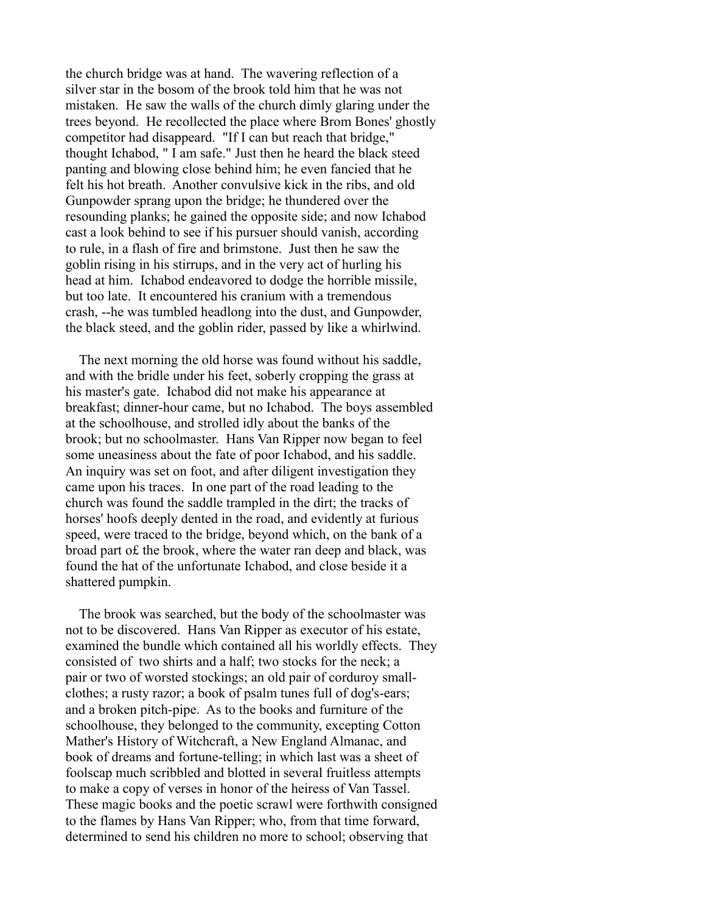the church bridge was at hand. The wavering reflection of a silver star in the bosom of the brook told him that he was not mistaken. He saw the walls of the church dimly glaring under the trees beyond. He recollected the place where Brom Bones' ghostly competitor had disappeard. "If I can but reach that bridge," thought Ichabod, " I am safe." Just then he heard the black steed panting and blowing close behind him; he even fancied that he felt his hot breath. Another convulsive kick in the ribs, and old Gunpowder sprang upon the bridge; he thundered over the resounding planks; he gained the opposite side; and now Ichabod cast a look behind to see if his pursuer should vanish, according to rule, in a flash of fire and brimstone. Just then he saw the goblin rising in his stirrups, and in the very act of hurling his head at him. Ichabod endeavored to dodge the horrible missile, but too late. It encountered his cranium with a tremendous crash, --he was tumbled headlong into the dust, and Gunpowder, the black steed, and the goblin rider, passed by like a whirlwind.

 The next morning the old horse was found without his saddle, and with the bridle under his feet, soberly cropping the grass at his master's gate. Ichabod did not make his appearance at breakfast; dinner-hour came, but no Ichabod. The boys assembled at the schoolhouse, and strolled idly about the banks of the brook; but no schoolmaster. Hans Van Ripper now began to feel some uneasiness about the fate of poor Ichabod, and his saddle. An inquiry was set on foot, and after diligent investigation they came upon his traces. In one part of the road leading to the church was found the saddle trampled in the dirt; the tracks of horses' hoofs deeply dented in the road, and evidently at furious speed, were traced to the bridge, beyond which, on the bank of a broad part o£ the brook, where the water ran deep and black, was found the hat of the unfortunate Ichabod, and close beside it a shattered pumpkin.

 The brook was searched, but the body of the schoolmaster was not to be discovered. Hans Van Ripper as executor of his estate, examined the bundle which contained all his worldly effects. They consisted of two shirts and a half; two stocks for the neck; a pair or two of worsted stockings; an old pair of corduroy smallclothes; a rusty razor; a book of psalm tunes full of dog's-ears; and a broken pitch-pipe. As to the books and furniture of the schoolhouse, they belonged to the community, excepting Cotton Mather's History of Witchcraft, a New England Almanac, and book of dreams and fortune-telling; in which last was a sheet of foolscap much scribbled and blotted in several fruitless attempts to make a copy of verses in honor of the heiress of Van Tassel. These magic books and the poetic scrawl were forthwith consigned to the flames by Hans Van Ripper; who, from that time forward, determined to send his children no more to school; observing that